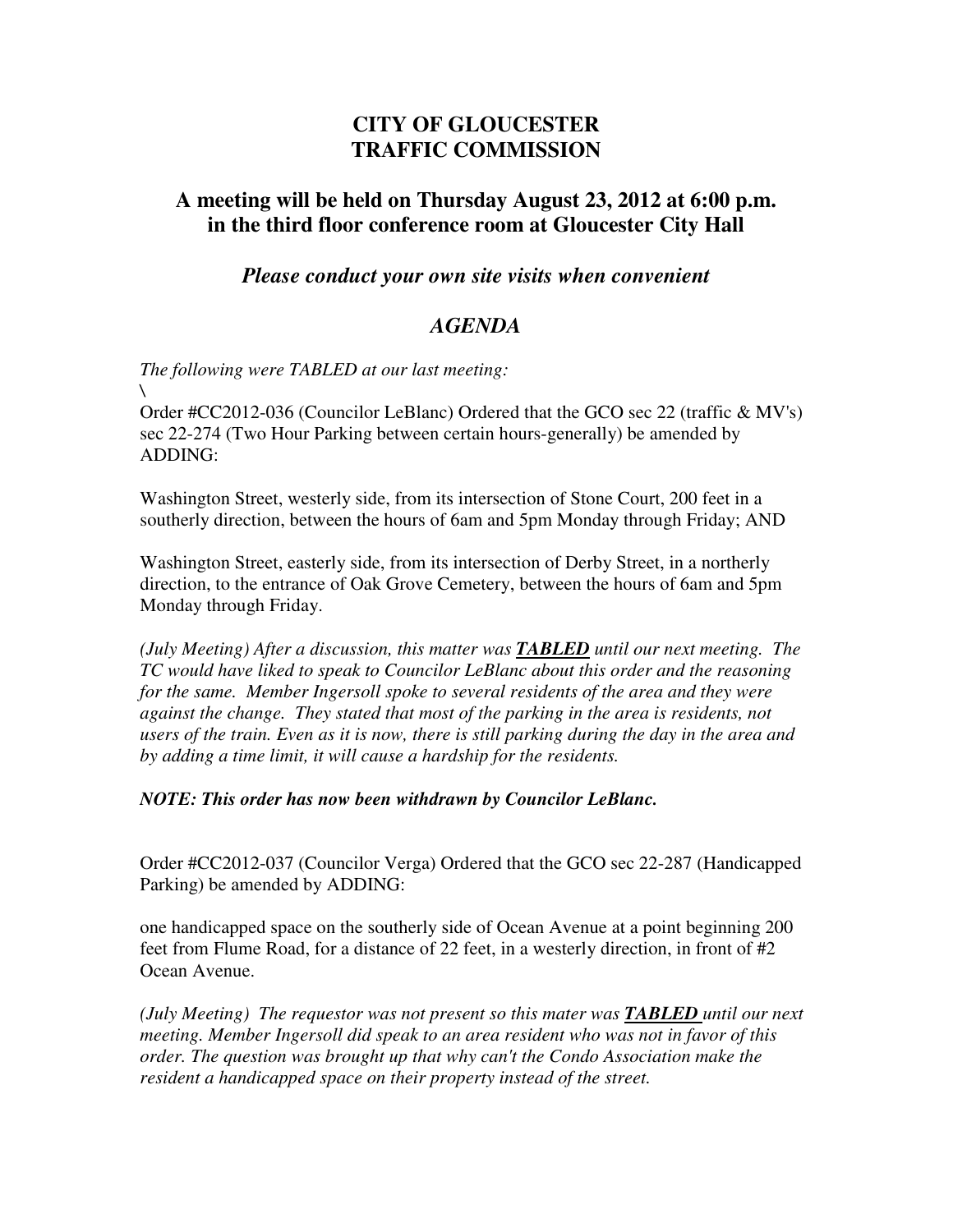## **CITY OF GLOUCESTER TRAFFIC COMMISSION**

## **A meeting will be held on Thursday August 23, 2012 at 6:00 p.m. in the third floor conference room at Gloucester City Hall**

*Please conduct your own site visits when convenient*

## *AGENDA*

*The following were TABLED at our last meeting: \* 

Order #CC2012-036 (Councilor LeBlanc) Ordered that the GCO sec 22 (traffic & MV's) sec 22-274 (Two Hour Parking between certain hours-generally) be amended by ADDING:

Washington Street, westerly side, from its intersection of Stone Court, 200 feet in a southerly direction, between the hours of 6am and 5pm Monday through Friday; AND

Washington Street, easterly side, from its intersection of Derby Street, in a northerly direction, to the entrance of Oak Grove Cemetery, between the hours of 6am and 5pm Monday through Friday.

*(July Meeting) After a discussion, this matter was TABLED until our next meeting. The TC would have liked to speak to Councilor LeBlanc about this order and the reasoning for the same. Member Ingersoll spoke to several residents of the area and they were against the change. They stated that most of the parking in the area is residents, not users of the train. Even as it is now, there is still parking during the day in the area and by adding a time limit, it will cause a hardship for the residents.* 

*NOTE: This order has now been withdrawn by Councilor LeBlanc.* 

Order #CC2012-037 (Councilor Verga) Ordered that the GCO sec 22-287 (Handicapped Parking) be amended by ADDING:

one handicapped space on the southerly side of Ocean Avenue at a point beginning 200 feet from Flume Road, for a distance of 22 feet, in a westerly direction, in front of #2 Ocean Avenue.

*(July Meeting) The requestor was not present so this mater was TABLED until our next meeting. Member Ingersoll did speak to an area resident who was not in favor of this order. The question was brought up that why can't the Condo Association make the resident a handicapped space on their property instead of the street.*